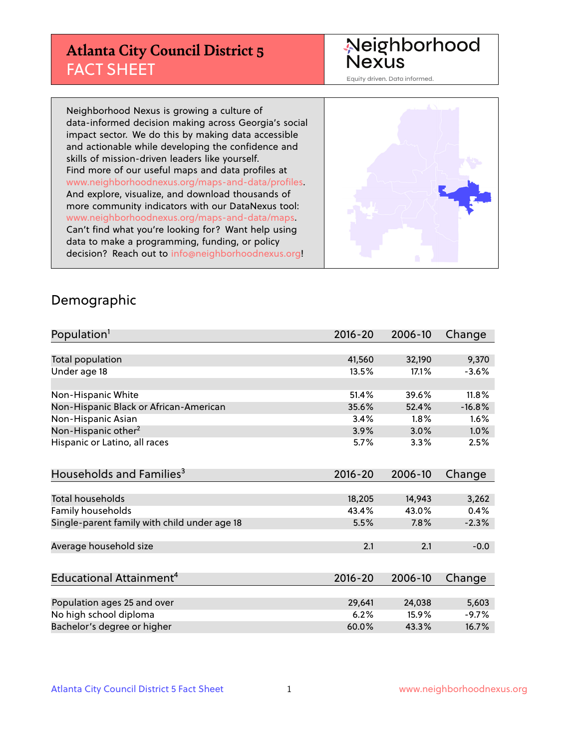# **Atlanta City Council District 5** FACT SHEET

# Neighborhood<br>Nexus

Equity driven. Data informed.

Neighborhood Nexus is growing a culture of data-informed decision making across Georgia's social impact sector. We do this by making data accessible and actionable while developing the confidence and skills of mission-driven leaders like yourself. Find more of our useful maps and data profiles at www.neighborhoodnexus.org/maps-and-data/profiles. And explore, visualize, and download thousands of more community indicators with our DataNexus tool: www.neighborhoodnexus.org/maps-and-data/maps. Can't find what you're looking for? Want help using data to make a programming, funding, or policy decision? Reach out to [info@neighborhoodnexus.org!](mailto:info@neighborhoodnexus.org)



#### Demographic

| Population <sup>1</sup>                      | 2016-20     | 2006-10 | Change   |
|----------------------------------------------|-------------|---------|----------|
|                                              |             |         |          |
| Total population                             | 41,560      | 32,190  | 9,370    |
| Under age 18                                 | 13.5%       | 17.1%   | $-3.6%$  |
|                                              |             |         |          |
| Non-Hispanic White                           | 51.4%       | 39.6%   | 11.8%    |
| Non-Hispanic Black or African-American       | 35.6%       | 52.4%   | $-16.8%$ |
| Non-Hispanic Asian                           | 3.4%        | 1.8%    | 1.6%     |
| Non-Hispanic other <sup>2</sup>              | 3.9%        | 3.0%    | 1.0%     |
| Hispanic or Latino, all races                | 5.7%        | 3.3%    | 2.5%     |
|                                              |             |         |          |
| Households and Families <sup>3</sup>         | $2016 - 20$ | 2006-10 | Change   |
|                                              |             |         |          |
| <b>Total households</b>                      | 18,205      | 14,943  | 3,262    |
| Family households                            | 43.4%       | 43.0%   | 0.4%     |
| Single-parent family with child under age 18 | 5.5%        | 7.8%    | $-2.3%$  |
|                                              |             |         |          |
| Average household size                       | 2.1         | 2.1     | $-0.0$   |
|                                              |             |         |          |
| Educational Attainment <sup>4</sup>          | $2016 - 20$ | 2006-10 | Change   |
|                                              |             |         |          |
| Population ages 25 and over                  | 29,641      | 24,038  | 5,603    |
| No high school diploma                       | 6.2%        | 15.9%   | $-9.7%$  |
| Bachelor's degree or higher                  | 60.0%       | 43.3%   | 16.7%    |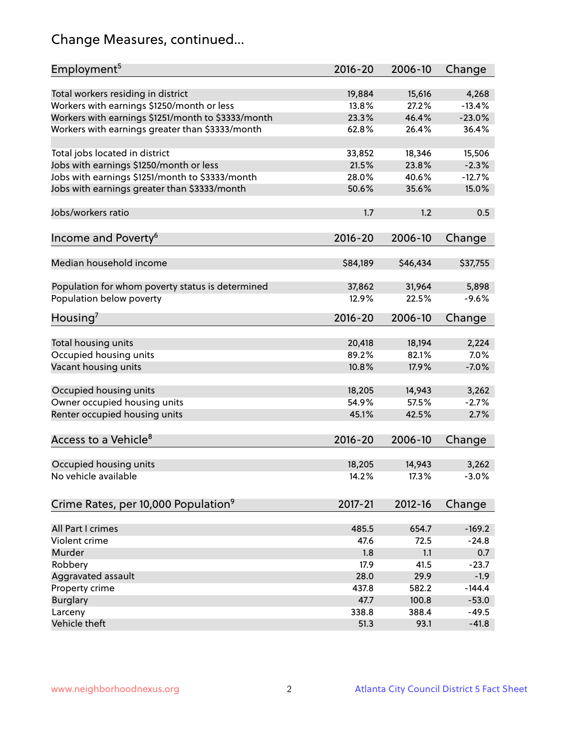# Change Measures, continued...

| Employment <sup>5</sup>                            | $2016 - 20$     | 2006-10         | Change            |
|----------------------------------------------------|-----------------|-----------------|-------------------|
|                                                    |                 |                 |                   |
| Total workers residing in district                 | 19,884          | 15,616<br>27.2% | 4,268<br>$-13.4%$ |
| Workers with earnings \$1250/month or less         | 13.8%           |                 |                   |
| Workers with earnings \$1251/month to \$3333/month | 23.3%           | 46.4%           | $-23.0%$          |
| Workers with earnings greater than \$3333/month    | 62.8%           | 26.4%           | 36.4%             |
| Total jobs located in district                     | 33,852          | 18,346          | 15,506            |
| Jobs with earnings \$1250/month or less            | 21.5%           | 23.8%           | $-2.3%$           |
| Jobs with earnings \$1251/month to \$3333/month    | 28.0%           | 40.6%           | $-12.7%$          |
| Jobs with earnings greater than \$3333/month       | 50.6%           | 35.6%           | 15.0%             |
|                                                    |                 |                 |                   |
| Jobs/workers ratio                                 | 1.7             | 1.2             | 0.5               |
|                                                    |                 |                 |                   |
| Income and Poverty <sup>6</sup>                    | 2016-20         | 2006-10         | Change            |
|                                                    |                 |                 |                   |
| Median household income                            | \$84,189        | \$46,434        | \$37,755          |
| Population for whom poverty status is determined   | 37,862          | 31,964          | 5,898             |
| Population below poverty                           | 12.9%           | 22.5%           | $-9.6%$           |
|                                                    |                 |                 |                   |
| Housing <sup>7</sup>                               | $2016 - 20$     | 2006-10         | Change            |
|                                                    |                 |                 |                   |
| Total housing units                                | 20,418          | 18,194          | 2,224             |
| Occupied housing units                             | 89.2%           | 82.1%           | 7.0%              |
| Vacant housing units                               | 10.8%           | 17.9%           | $-7.0%$           |
| Occupied housing units                             |                 |                 |                   |
|                                                    | 18,205<br>54.9% | 14,943<br>57.5% | 3,262<br>$-2.7%$  |
| Owner occupied housing units                       |                 |                 |                   |
| Renter occupied housing units                      | 45.1%           | 42.5%           | 2.7%              |
| Access to a Vehicle <sup>8</sup>                   | $2016 - 20$     | 2006-10         |                   |
|                                                    |                 |                 | Change            |
| Occupied housing units                             | 18,205          | 14,943          | 3,262             |
| No vehicle available                               | 14.2%           | 17.3%           | $-3.0%$           |
|                                                    |                 |                 |                   |
| Crime Rates, per 10,000 Population <sup>9</sup>    | 2017-21         | 2012-16         | Change            |
|                                                    |                 |                 |                   |
| All Part I crimes                                  | 485.5           | 654.7           | $-169.2$          |
| Violent crime                                      | 47.6            | 72.5            | $-24.8$           |
| Murder                                             | 1.8             | 1.1             | 0.7               |
| Robbery                                            | 17.9            | 41.5            | $-23.7$           |
| Aggravated assault                                 | 28.0            | 29.9            | $-1.9$            |
| Property crime                                     | 437.8           | 582.2           | $-144.4$          |
| <b>Burglary</b>                                    | 47.7            | 100.8           | $-53.0$           |
| Larceny                                            | 338.8           | 388.4           | $-49.5$           |
| Vehicle theft                                      | 51.3            | 93.1            | $-41.8$           |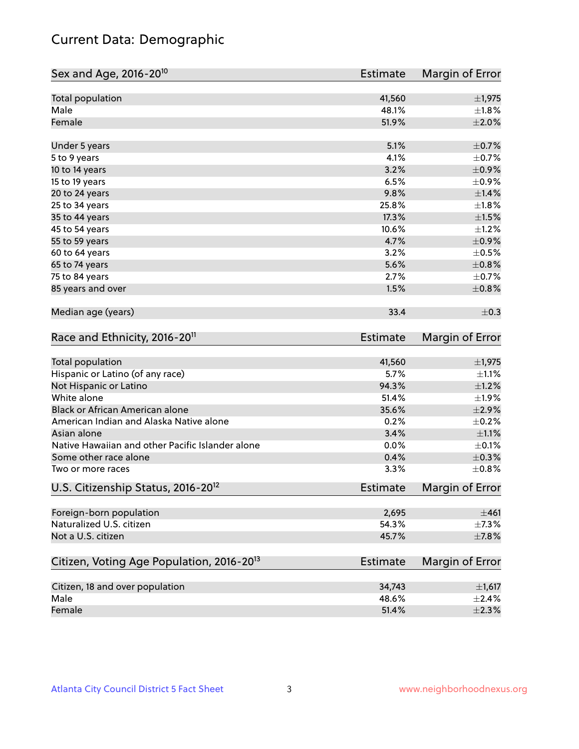# Current Data: Demographic

| Sex and Age, 2016-20 <sup>10</sup>                    | <b>Estimate</b> | Margin of Error |
|-------------------------------------------------------|-----------------|-----------------|
| Total population                                      | 41,560          | $\pm$ 1,975     |
| Male                                                  | 48.1%           | $\pm$ 1.8%      |
| Female                                                | 51.9%           | $\pm 2.0\%$     |
| Under 5 years                                         | 5.1%            | $\pm$ 0.7%      |
| 5 to 9 years                                          | 4.1%            | $\pm$ 0.7%      |
| 10 to 14 years                                        | 3.2%            | $\pm$ 0.9%      |
| 15 to 19 years                                        | 6.5%            | $\pm$ 0.9%      |
| 20 to 24 years                                        | 9.8%            | ±1.4%           |
| 25 to 34 years                                        | 25.8%           | $\pm1.8\%$      |
| 35 to 44 years                                        | 17.3%           | $\pm 1.5\%$     |
| 45 to 54 years                                        | 10.6%           | $\pm$ 1.2%      |
| 55 to 59 years                                        | 4.7%            | $\pm$ 0.9%      |
| 60 to 64 years                                        | 3.2%            | $\pm$ 0.5%      |
| 65 to 74 years                                        | 5.6%            | $\pm 0.8\%$     |
| 75 to 84 years                                        | 2.7%            | $\pm$ 0.7%      |
| 85 years and over                                     | 1.5%            | $\pm$ 0.8%      |
| Median age (years)                                    | 33.4            | $\pm$ 0.3       |
| Race and Ethnicity, 2016-20 <sup>11</sup>             | <b>Estimate</b> | Margin of Error |
| <b>Total population</b>                               | 41,560          | $\pm$ 1,975     |
| Hispanic or Latino (of any race)                      | 5.7%            | $\pm 1.1\%$     |
| Not Hispanic or Latino                                | 94.3%           | $\pm 1.2\%$     |
| White alone                                           | 51.4%           | $\pm$ 1.9%      |
| Black or African American alone                       | 35.6%           | $\pm 2.9\%$     |
| American Indian and Alaska Native alone               | 0.2%            | $\pm$ 0.2%      |
| Asian alone                                           | 3.4%            | $\pm 1.1\%$     |
| Native Hawaiian and other Pacific Islander alone      | 0.0%            | $\pm$ 0.1%      |
| Some other race alone                                 | 0.4%            | $\pm$ 0.3%      |
| Two or more races                                     | 3.3%            | $\pm$ 0.8%      |
| U.S. Citizenship Status, 2016-20 <sup>12</sup>        | <b>Estimate</b> | Margin of Error |
| Foreign-born population                               | 2,695           | ±461            |
| Naturalized U.S. citizen                              | 54.3%           | $\pm$ 7.3%      |
| Not a U.S. citizen                                    | 45.7%           | $\pm$ 7.8%      |
| Citizen, Voting Age Population, 2016-20 <sup>13</sup> | <b>Estimate</b> | Margin of Error |
| Citizen, 18 and over population                       | 34,743          | $\pm$ 1,617     |
| Male                                                  | 48.6%           | $\pm 2.4\%$     |
| Female                                                | 51.4%           | $\pm 2.3\%$     |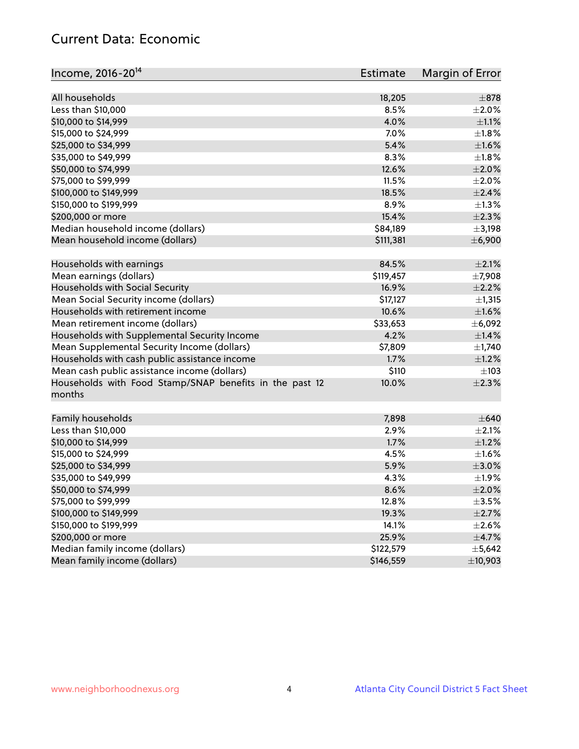## Current Data: Economic

| Income, 2016-20 <sup>14</sup>                                     | <b>Estimate</b> | Margin of Error |
|-------------------------------------------------------------------|-----------------|-----------------|
| All households                                                    | 18,205          | $\pm$ 878       |
| Less than \$10,000                                                | 8.5%            | $\pm 2.0\%$     |
| \$10,000 to \$14,999                                              | 4.0%            | $\pm 1.1\%$     |
| \$15,000 to \$24,999                                              | 7.0%            | $\pm1.8\%$      |
| \$25,000 to \$34,999                                              | 5.4%            | $\pm 1.6\%$     |
| \$35,000 to \$49,999                                              | 8.3%            | $\pm 1.8\%$     |
| \$50,000 to \$74,999                                              | 12.6%           | $\pm 2.0\%$     |
| \$75,000 to \$99,999                                              | 11.5%           | $\pm 2.0\%$     |
|                                                                   | 18.5%           | $\pm 2.4\%$     |
| \$100,000 to \$149,999                                            |                 |                 |
| \$150,000 to \$199,999                                            | 8.9%            | $\pm 1.3\%$     |
| \$200,000 or more                                                 | 15.4%           | $\pm 2.3\%$     |
| Median household income (dollars)                                 | \$84,189        | $\pm$ 3,198     |
| Mean household income (dollars)                                   | \$111,381       | ±6,900          |
| Households with earnings                                          | 84.5%           | $\pm 2.1\%$     |
| Mean earnings (dollars)                                           | \$119,457       | ±7,908          |
| Households with Social Security                                   | 16.9%           | $\pm 2.2\%$     |
| Mean Social Security income (dollars)                             | \$17,127        | ±1,315          |
| Households with retirement income                                 | 10.6%           | $\pm1.6\%$      |
| Mean retirement income (dollars)                                  | \$33,653        | ±6,092          |
| Households with Supplemental Security Income                      | 4.2%            | $\pm$ 1.4%      |
| Mean Supplemental Security Income (dollars)                       | \$7,809         | $\pm$ 1,740     |
| Households with cash public assistance income                     | 1.7%            | $\pm$ 1.2%      |
| Mean cash public assistance income (dollars)                      | \$110           | $\pm$ 103       |
| Households with Food Stamp/SNAP benefits in the past 12<br>months | 10.0%           | $\pm 2.3\%$     |
| Family households                                                 | 7,898           | $\pm 640$       |
| Less than \$10,000                                                | 2.9%            | $\pm 2.1\%$     |
| \$10,000 to \$14,999                                              | 1.7%            | $\pm 1.2\%$     |
| \$15,000 to \$24,999                                              | 4.5%            | $\pm1.6\%$      |
| \$25,000 to \$34,999                                              | 5.9%            | $\pm 3.0\%$     |
| \$35,000 to \$49,999                                              | 4.3%            | $\pm$ 1.9%      |
| \$50,000 to \$74,999                                              | 8.6%            | $\pm 2.0\%$     |
| \$75,000 to \$99,999                                              | 12.8%           | $\pm$ 3.5%      |
| \$100,000 to \$149,999                                            | 19.3%           | $\pm 2.7\%$     |
| \$150,000 to \$199,999                                            | 14.1%           | $\pm 2.6\%$     |
| \$200,000 or more                                                 | 25.9%           | $\pm$ 4.7%      |
| Median family income (dollars)                                    | \$122,579       | $\pm$ 5,642     |
| Mean family income (dollars)                                      | \$146,559       | ±10,903         |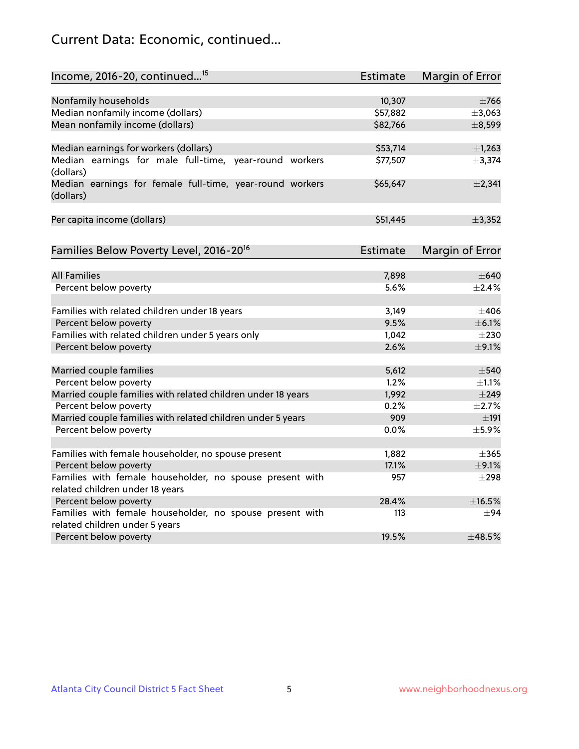# Current Data: Economic, continued...

| Income, 2016-20, continued <sup>15</sup>                                                   | <b>Estimate</b> | Margin of Error        |
|--------------------------------------------------------------------------------------------|-----------------|------------------------|
|                                                                                            |                 |                        |
| Nonfamily households                                                                       | 10,307          | $\pm$ 766              |
| Median nonfamily income (dollars)                                                          | \$57,882        | ±3,063                 |
| Mean nonfamily income (dollars)                                                            | \$82,766        | ±8,599                 |
| Median earnings for workers (dollars)                                                      | \$53,714        | ±1,263                 |
| Median earnings for male full-time, year-round workers<br>(dollars)                        | \$77,507        | ±3,374                 |
| Median earnings for female full-time, year-round workers<br>(dollars)                      | \$65,647        | $\pm 2,341$            |
| Per capita income (dollars)                                                                | \$51,445        | ±3,352                 |
| Families Below Poverty Level, 2016-20 <sup>16</sup>                                        | <b>Estimate</b> | <b>Margin of Error</b> |
|                                                                                            |                 |                        |
| <b>All Families</b>                                                                        | 7,898           | $\pm 640$              |
| Percent below poverty                                                                      | 5.6%            | $\pm 2.4\%$            |
| Families with related children under 18 years                                              | 3,149           | $\pm 406$              |
| Percent below poverty                                                                      | 9.5%            | $\pm$ 6.1%             |
| Families with related children under 5 years only                                          | 1,042           | $\pm 230$              |
| Percent below poverty                                                                      | 2.6%            | $\pm$ 9.1%             |
| Married couple families                                                                    | 5,612           | $\pm$ 540              |
| Percent below poverty                                                                      | 1.2%            | $\pm 1.1\%$            |
| Married couple families with related children under 18 years                               | 1,992           | $\pm$ 249              |
| Percent below poverty                                                                      | 0.2%            | $\pm 2.7\%$            |
| Married couple families with related children under 5 years                                | 909             | ±191                   |
| Percent below poverty                                                                      | 0.0%            | $\pm$ 5.9%             |
|                                                                                            |                 |                        |
| Families with female householder, no spouse present                                        | 1,882           | $\pm$ 365              |
| Percent below poverty                                                                      | 17.1%           | $\pm$ 9.1%             |
| Families with female householder, no spouse present with                                   | 957             | $\pm 298$              |
| related children under 18 years                                                            |                 |                        |
| Percent below poverty                                                                      | 28.4%           | $\pm$ 16.5%            |
| Families with female householder, no spouse present with<br>related children under 5 years | 113             | $\pm 94$               |
| Percent below poverty                                                                      | 19.5%           | ±48.5%                 |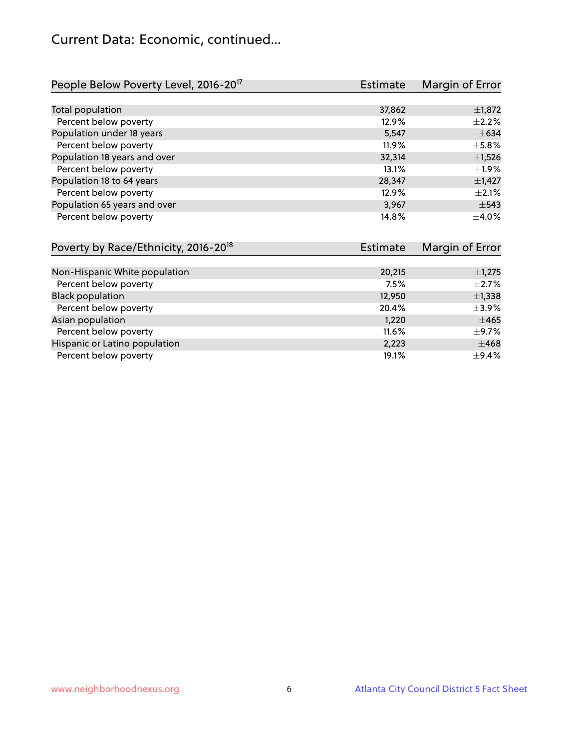# Current Data: Economic, continued...

| People Below Poverty Level, 2016-20 <sup>17</sup> | <b>Estimate</b> | Margin of Error |
|---------------------------------------------------|-----------------|-----------------|
|                                                   |                 |                 |
| Total population                                  | 37,862          | $\pm$ 1,872     |
| Percent below poverty                             | 12.9%           | $\pm 2.2\%$     |
| Population under 18 years                         | 5,547           | $\pm 634$       |
| Percent below poverty                             | 11.9%           | $\pm$ 5.8%      |
| Population 18 years and over                      | 32,314          | $\pm$ 1,526     |
| Percent below poverty                             | 13.1%           | ±1.9%           |
| Population 18 to 64 years                         | 28,347          | $\pm$ 1,427     |
| Percent below poverty                             | 12.9%           | $\pm 2.1\%$     |
| Population 65 years and over                      | 3,967           | $\pm$ 543       |
| Percent below poverty                             | 14.8%           | $\pm$ 4.0%      |

| Poverty by Race/Ethnicity, 2016-20 <sup>18</sup> | Estimate | Margin of Error |
|--------------------------------------------------|----------|-----------------|
|                                                  |          |                 |
| Non-Hispanic White population                    | 20,215   | $\pm$ 1,275     |
| Percent below poverty                            | 7.5%     | $\pm 2.7\%$     |
| <b>Black population</b>                          | 12,950   | $\pm$ 1,338     |
| Percent below poverty                            | 20.4%    | $\pm$ 3.9%      |
| Asian population                                 | 1,220    | $\pm 465$       |
| Percent below poverty                            | 11.6%    | $\pm$ 9.7%      |
| Hispanic or Latino population                    | 2,223    | $\pm 468$       |
| Percent below poverty                            | 19.1%    | $\pm$ 9.4%      |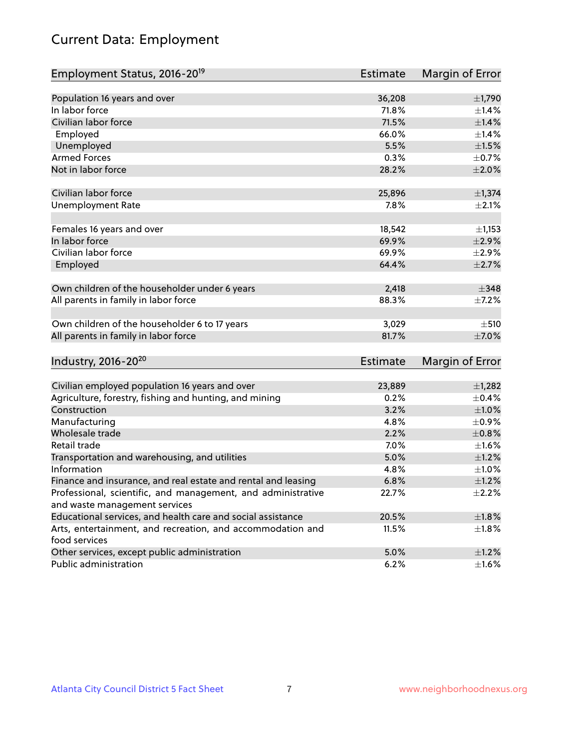# Current Data: Employment

| Employment Status, 2016-20 <sup>19</sup>                      | <b>Estimate</b> | Margin of Error |
|---------------------------------------------------------------|-----------------|-----------------|
|                                                               |                 |                 |
| Population 16 years and over                                  | 36,208          | $\pm$ 1,790     |
| In labor force                                                | 71.8%           | ±1.4%           |
| Civilian labor force                                          | 71.5%           | $\pm1.4\%$      |
| Employed                                                      | 66.0%           | ±1.4%           |
| Unemployed                                                    | 5.5%            | $\pm 1.5\%$     |
| <b>Armed Forces</b>                                           | 0.3%            | $\pm$ 0.7%      |
| Not in labor force                                            | 28.2%           | $\pm 2.0\%$     |
|                                                               |                 |                 |
| Civilian labor force                                          | 25,896          | $\pm$ 1,374     |
| <b>Unemployment Rate</b>                                      | 7.8%            | $\pm 2.1\%$     |
| Females 16 years and over                                     | 18,542          | $\pm$ 1,153     |
| In labor force                                                | 69.9%           | $\pm 2.9\%$     |
| Civilian labor force                                          | 69.9%           | $\pm 2.9\%$     |
| Employed                                                      | 64.4%           | $\pm 2.7\%$     |
|                                                               |                 |                 |
| Own children of the householder under 6 years                 | 2,418           | $\pm$ 348       |
| All parents in family in labor force                          | 88.3%           | $\pm$ 7.2%      |
|                                                               |                 |                 |
| Own children of the householder 6 to 17 years                 | 3,029           | ±510            |
| All parents in family in labor force                          | 81.7%           | $\pm$ 7.0%      |
|                                                               |                 |                 |
| Industry, 2016-20 <sup>20</sup>                               | Estimate        | Margin of Error |
|                                                               |                 |                 |
| Civilian employed population 16 years and over                | 23,889          | $\pm$ 1,282     |
| Agriculture, forestry, fishing and hunting, and mining        | 0.2%            | $\pm$ 0.4%      |
| Construction                                                  | 3.2%            | ±1.0%           |
| Manufacturing                                                 | 4.8%            | $\pm$ 0.9%      |
| Wholesale trade                                               | 2.2%            | $\pm 0.8\%$     |
| Retail trade                                                  | 7.0%            | ±1.6%           |
| Transportation and warehousing, and utilities                 | 5.0%            | $\pm 1.2\%$     |
| Information                                                   | 4.8%            | ±1.0%           |
| Finance and insurance, and real estate and rental and leasing | 6.8%            | $\pm 1.2\%$     |
| Professional, scientific, and management, and administrative  | 22.7%           | $\pm 2.2\%$     |
| and waste management services                                 |                 |                 |
| Educational services, and health care and social assistance   | 20.5%           | $\pm 1.8\%$     |
| Arts, entertainment, and recreation, and accommodation and    | 11.5%           | $\pm 1.8\%$     |
| food services                                                 |                 |                 |
| Other services, except public administration                  | 5.0%            | $\pm$ 1.2%      |
| Public administration                                         | 6.2%            | $\pm$ 1.6%      |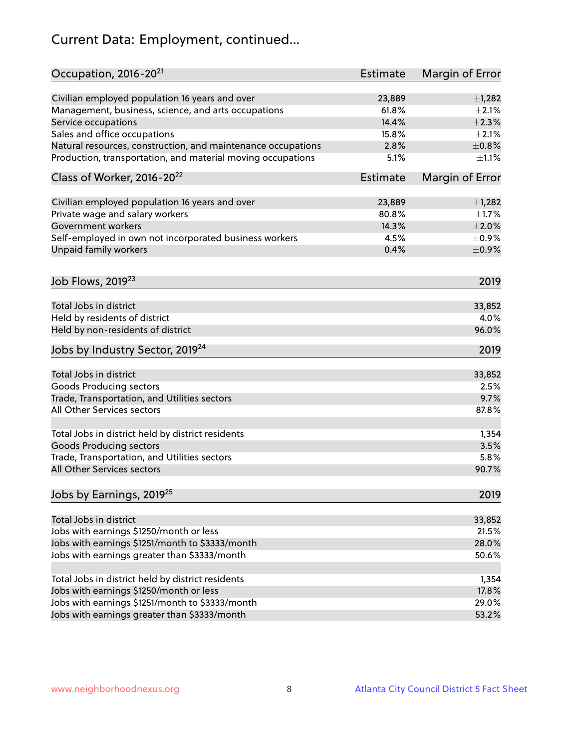# Current Data: Employment, continued...

| Occupation, 2016-20 <sup>21</sup>                            | Estimate        | Margin of Error |
|--------------------------------------------------------------|-----------------|-----------------|
| Civilian employed population 16 years and over               | 23,889          | $\pm$ 1,282     |
| Management, business, science, and arts occupations          | 61.8%           | $\pm 2.1\%$     |
| Service occupations                                          | 14.4%           | $\pm 2.3\%$     |
| Sales and office occupations                                 | 15.8%           | $\pm 2.1\%$     |
| Natural resources, construction, and maintenance occupations | 2.8%            | $\pm$ 0.8%      |
| Production, transportation, and material moving occupations  | 5.1%            | $\pm 1.1\%$     |
| Class of Worker, 2016-20 <sup>22</sup>                       | <b>Estimate</b> | Margin of Error |
| Civilian employed population 16 years and over               | 23,889          | $\pm$ 1,282     |
| Private wage and salary workers                              | 80.8%           | $\pm 1.7\%$     |
| Government workers                                           | 14.3%           | $\pm 2.0\%$     |
| Self-employed in own not incorporated business workers       | 4.5%            | $\pm$ 0.9%      |
| Unpaid family workers                                        | 0.4%            | $\pm$ 0.9%      |
| Job Flows, 2019 <sup>23</sup>                                |                 | 2019            |
|                                                              |                 |                 |
| Total Jobs in district                                       |                 | 33,852          |
| Held by residents of district                                |                 | 4.0%            |
| Held by non-residents of district                            |                 | 96.0%           |
| Jobs by Industry Sector, 2019 <sup>24</sup>                  |                 | 2019            |
| Total Jobs in district                                       |                 | 33,852          |
| <b>Goods Producing sectors</b>                               |                 | 2.5%            |
| Trade, Transportation, and Utilities sectors                 |                 | 9.7%            |
| All Other Services sectors                                   |                 | 87.8%           |
| Total Jobs in district held by district residents            |                 | 1,354           |
| <b>Goods Producing sectors</b>                               |                 | 3.5%            |
| Trade, Transportation, and Utilities sectors                 |                 | 5.8%            |
| All Other Services sectors                                   |                 | 90.7%           |
| Jobs by Earnings, 2019 <sup>25</sup>                         |                 | 2019            |
|                                                              |                 |                 |
| Total Jobs in district                                       |                 | 33,852          |
| Jobs with earnings \$1250/month or less                      |                 | 21.5%           |
| Jobs with earnings \$1251/month to \$3333/month              |                 | 28.0%           |
| Jobs with earnings greater than \$3333/month                 |                 | 50.6%           |
| Total Jobs in district held by district residents            |                 | 1,354           |
| Jobs with earnings \$1250/month or less                      |                 | 17.8%           |
| Jobs with earnings \$1251/month to \$3333/month              |                 | 29.0%           |
| Jobs with earnings greater than \$3333/month                 |                 | 53.2%           |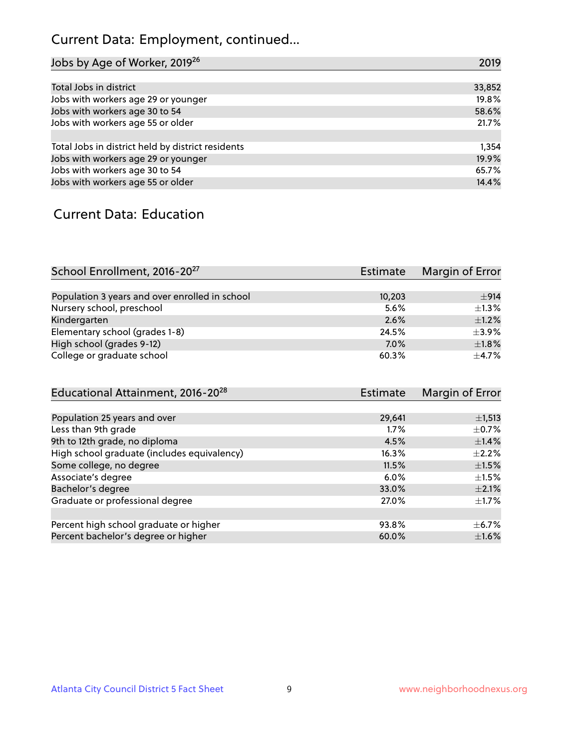# Current Data: Employment, continued...

| Jobs by Age of Worker, 2019 <sup>26</sup>         | 2019   |
|---------------------------------------------------|--------|
|                                                   |        |
| Total Jobs in district                            | 33,852 |
| Jobs with workers age 29 or younger               | 19.8%  |
| Jobs with workers age 30 to 54                    | 58.6%  |
| Jobs with workers age 55 or older                 | 21.7%  |
|                                                   |        |
| Total Jobs in district held by district residents | 1,354  |
| Jobs with workers age 29 or younger               | 19.9%  |
| Jobs with workers age 30 to 54                    | 65.7%  |
| Jobs with workers age 55 or older                 | 14.4%  |

#### Current Data: Education

| School Enrollment, 2016-20 <sup>27</sup>       | <b>Estimate</b> | Margin of Error |
|------------------------------------------------|-----------------|-----------------|
|                                                |                 |                 |
| Population 3 years and over enrolled in school | 10,203          | $+914$          |
| Nursery school, preschool                      | 5.6%            | $\pm 1.3\%$     |
| Kindergarten                                   | 2.6%            | $+1.2%$         |
| Elementary school (grades 1-8)                 | 24.5%           | $\pm$ 3.9%      |
| High school (grades 9-12)                      | 7.0%            | $\pm1.8\%$      |
| College or graduate school                     | 60.3%           | $+4.7%$         |

| Educational Attainment, 2016-20 <sup>28</sup> | <b>Estimate</b> | Margin of Error |
|-----------------------------------------------|-----------------|-----------------|
|                                               |                 |                 |
| Population 25 years and over                  | 29,641          | $\pm$ 1,513     |
| Less than 9th grade                           | 1.7%            | $\pm$ 0.7%      |
| 9th to 12th grade, no diploma                 | 4.5%            | $\pm$ 1.4%      |
| High school graduate (includes equivalency)   | 16.3%           | $\pm 2.2\%$     |
| Some college, no degree                       | 11.5%           | $\pm 1.5\%$     |
| Associate's degree                            | 6.0%            | $\pm 1.5\%$     |
| Bachelor's degree                             | 33.0%           | $\pm 2.1\%$     |
| Graduate or professional degree               | 27.0%           | $\pm 1.7\%$     |
|                                               |                 |                 |
| Percent high school graduate or higher        | 93.8%           | $\pm$ 6.7%      |
| Percent bachelor's degree or higher           | 60.0%           | $\pm1.6\%$      |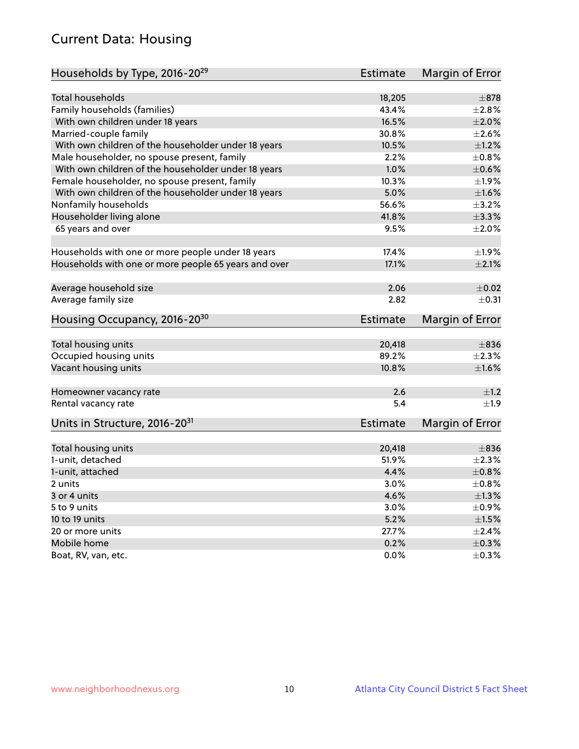# Current Data: Housing

| Households by Type, 2016-20 <sup>29</sup>            | <b>Estimate</b> | Margin of Error |
|------------------------------------------------------|-----------------|-----------------|
|                                                      |                 |                 |
| <b>Total households</b>                              | 18,205          | $\pm$ 878       |
| Family households (families)                         | 43.4%           | $\pm 2.8\%$     |
| With own children under 18 years                     | 16.5%           | $\pm 2.0\%$     |
| Married-couple family                                | 30.8%           | $\pm 2.6\%$     |
| With own children of the householder under 18 years  | 10.5%           | $\pm 1.2\%$     |
| Male householder, no spouse present, family          | 2.2%            | $\pm 0.8\%$     |
| With own children of the householder under 18 years  | 1.0%            | $\pm$ 0.6%      |
| Female householder, no spouse present, family        | 10.3%           | ±1.9%           |
| With own children of the householder under 18 years  | 5.0%            | $\pm 1.6\%$     |
| Nonfamily households                                 | 56.6%           | $\pm$ 3.2%      |
| Householder living alone                             | 41.8%           | ±3.3%           |
| 65 years and over                                    | 9.5%            | $\pm 2.0\%$     |
|                                                      |                 |                 |
| Households with one or more people under 18 years    | 17.4%           | ±1.9%           |
| Households with one or more people 65 years and over | 17.1%           | $\pm 2.1\%$     |
|                                                      |                 |                 |
| Average household size                               | 2.06            | $\pm$ 0.02      |
| Average family size                                  | 2.82            | $\pm$ 0.31      |
| Housing Occupancy, 2016-20 <sup>30</sup>             | <b>Estimate</b> | Margin of Error |
|                                                      |                 |                 |
| Total housing units                                  | 20,418          | $\pm$ 836       |
| Occupied housing units                               | 89.2%           | $\pm 2.3\%$     |
| Vacant housing units                                 | 10.8%           | $\pm1.6\%$      |
| Homeowner vacancy rate                               | 2.6             | ±1.2            |
| Rental vacancy rate                                  | 5.4             | $\pm 1.9$       |
| Units in Structure, 2016-20 <sup>31</sup>            | <b>Estimate</b> | Margin of Error |
|                                                      |                 |                 |
| Total housing units                                  | 20,418          | $\pm$ 836       |
| 1-unit, detached                                     | 51.9%           | $\pm 2.3\%$     |
| 1-unit, attached                                     | 4.4%            | $\pm 0.8\%$     |
| 2 units                                              | $3.0\%$         | $\pm$ 0.8%      |
| 3 or 4 units                                         | 4.6%            | $\pm 1.3\%$     |
| 5 to 9 units                                         | 3.0%            | $\pm$ 0.9%      |
| 10 to 19 units                                       | 5.2%            | $\pm 1.5\%$     |
| 20 or more units                                     | 27.7%           | $\pm 2.4\%$     |
| Mobile home                                          | 0.2%            | $\pm$ 0.3%      |
| Boat, RV, van, etc.                                  | $0.0\%$         | $\pm$ 0.3%      |
|                                                      |                 |                 |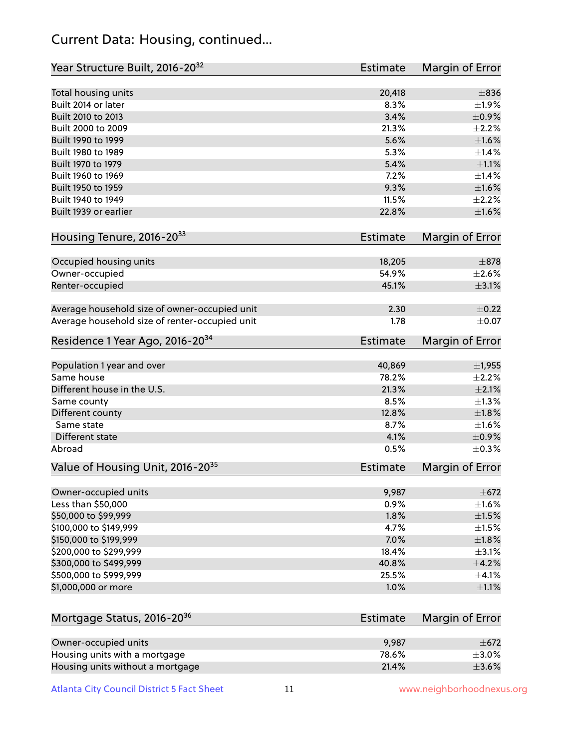### Current Data: Housing, continued...

| Year Structure Built, 2016-20 <sup>32</sup>    | Estimate        | Margin of Error |
|------------------------------------------------|-----------------|-----------------|
| Total housing units                            | 20,418          | $\pm$ 836       |
| Built 2014 or later                            | 8.3%            | $\pm 1.9\%$     |
| Built 2010 to 2013                             | 3.4%            | $\pm$ 0.9%      |
| Built 2000 to 2009                             | 21.3%           | $\pm 2.2\%$     |
| Built 1990 to 1999                             | 5.6%            | $\pm1.6\%$      |
| Built 1980 to 1989                             | 5.3%            | $\pm$ 1.4%      |
| Built 1970 to 1979                             | 5.4%            | $\pm 1.1\%$     |
| Built 1960 to 1969                             | 7.2%            | ±1.4%           |
| Built 1950 to 1959                             | 9.3%            | $\pm1.6\%$      |
| Built 1940 to 1949                             | 11.5%           | $\pm 2.2\%$     |
| Built 1939 or earlier                          | 22.8%           | $\pm1.6\%$      |
| Housing Tenure, 2016-2033                      | <b>Estimate</b> | Margin of Error |
| Occupied housing units                         | 18,205          | $\pm$ 878       |
| Owner-occupied                                 | 54.9%           | $\pm 2.6\%$     |
| Renter-occupied                                | 45.1%           | $\pm$ 3.1%      |
| Average household size of owner-occupied unit  | 2.30            | $\pm$ 0.22      |
| Average household size of renter-occupied unit | 1.78            | $\pm 0.07$      |
| Residence 1 Year Ago, 2016-20 <sup>34</sup>    | Estimate        | Margin of Error |
| Population 1 year and over                     | 40,869          | $\pm$ 1,955     |
| Same house                                     | 78.2%           | $\pm 2.2\%$     |
| Different house in the U.S.                    | 21.3%           | $\pm 2.1\%$     |
| Same county                                    | 8.5%            | $\pm 1.3\%$     |
| Different county                               | 12.8%           | $\pm1.8\%$      |
| Same state                                     | 8.7%            | $\pm1.6\%$      |
| Different state                                | 4.1%            | $\pm$ 0.9%      |
| Abroad                                         | 0.5%            | $\pm$ 0.3%      |
| Value of Housing Unit, 2016-20 <sup>35</sup>   | <b>Estimate</b> | Margin of Error |
| Owner-occupied units                           | 9,987           | $\pm 672$       |
| Less than \$50,000                             | 0.9%            | $\pm 1.6\%$     |
| \$50,000 to \$99,999                           | 1.8%            | $\pm 1.5\%$     |
| \$100,000 to \$149,999                         | 4.7%            | $\pm 1.5\%$     |
| \$150,000 to \$199,999                         | 7.0%            | ±1.8%           |
| \$200,000 to \$299,999                         | 18.4%           | $\pm$ 3.1%      |
| \$300,000 to \$499,999                         | 40.8%           | $\pm$ 4.2%      |
| \$500,000 to \$999,999                         | 25.5%           | ±4.1%           |
| \$1,000,000 or more                            | 1.0%            | $\pm 1.1\%$     |
| Mortgage Status, 2016-20 <sup>36</sup>         | Estimate        | Margin of Error |
| Owner-occupied units                           | 9,987           | $\pm$ 672       |
| Housing units with a mortgage                  | 78.6%           | $\pm 3.0\%$     |

Housing units without a mortgage  $\pm 3.6\%$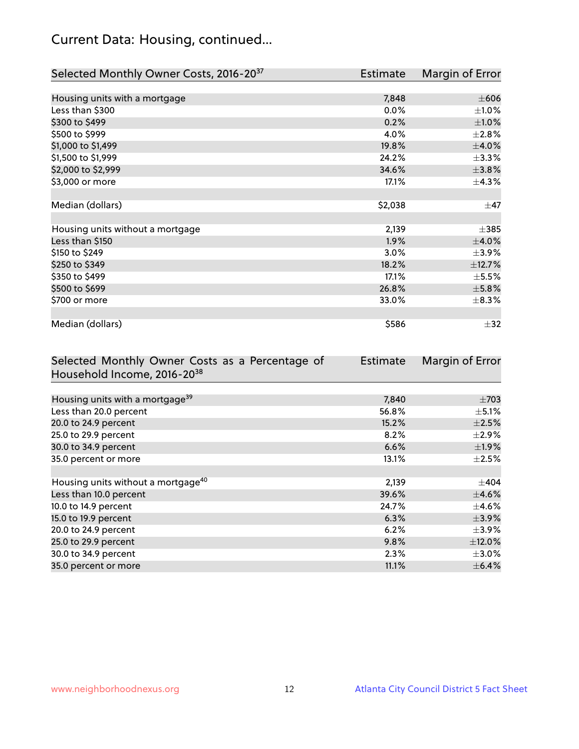# Current Data: Housing, continued...

| Selected Monthly Owner Costs, 2016-20 <sup>37</sup> | Estimate | Margin of Error |
|-----------------------------------------------------|----------|-----------------|
|                                                     |          |                 |
| Housing units with a mortgage                       | 7,848    | $\pm 606$       |
| Less than \$300                                     | 0.0%     | $\pm 1.0\%$     |
| \$300 to \$499                                      | 0.2%     | $\pm1.0\%$      |
| \$500 to \$999                                      | 4.0%     | $\pm 2.8\%$     |
| \$1,000 to \$1,499                                  | 19.8%    | $\pm$ 4.0%      |
| \$1,500 to \$1,999                                  | 24.2%    | $\pm$ 3.3%      |
| \$2,000 to \$2,999                                  | 34.6%    | ±3.8%           |
| \$3,000 or more                                     | 17.1%    | $\pm$ 4.3%      |
|                                                     |          |                 |
| Median (dollars)                                    | \$2,038  | $\pm$ 47        |
|                                                     |          |                 |
| Housing units without a mortgage                    | 2,139    | $\pm$ 385       |
| Less than \$150                                     | 1.9%     | $\pm$ 4.0%      |
| \$150 to \$249                                      | 3.0%     | $\pm$ 3.9%      |
| \$250 to \$349                                      | 18.2%    | ±12.7%          |
| \$350 to \$499                                      | 17.1%    | $\pm$ 5.5%      |
| \$500 to \$699                                      | 26.8%    | $\pm$ 5.8%      |
| \$700 or more                                       | 33.0%    | $\pm$ 8.3%      |
|                                                     |          |                 |
| Median (dollars)                                    | \$586    | $\pm$ 32        |

| Selected Monthly Owner Costs as a Percentage of | <b>Estimate</b> | Margin of Error |
|-------------------------------------------------|-----------------|-----------------|
| Household Income, 2016-20 <sup>38</sup>         |                 |                 |
|                                                 |                 |                 |
| Housing units with a mortgage <sup>39</sup>     | 7,840           | $\pm 703$       |
| Less than 20.0 percent                          | 56.8%           | $\pm$ 5.1%      |
| 20.0 to 24.9 percent                            | 15.2%           | $\pm 2.5\%$     |
| 25.0 to 29.9 percent                            | 8.2%            | $\pm 2.9\%$     |
| 30.0 to 34.9 percent                            | 6.6%            | $\pm$ 1.9%      |
| 35.0 percent or more                            | 13.1%           | $\pm 2.5\%$     |
|                                                 |                 |                 |
| Housing units without a mortgage <sup>40</sup>  | 2,139           | $\pm 404$       |
| Less than 10.0 percent                          | 39.6%           | $\pm$ 4.6%      |
| 10.0 to 14.9 percent                            | 24.7%           | $\pm$ 4.6%      |
| 15.0 to 19.9 percent                            | 6.3%            | $\pm$ 3.9%      |
| 20.0 to 24.9 percent                            | 6.2%            | $\pm$ 3.9%      |
| 25.0 to 29.9 percent                            | 9.8%            | $\pm$ 12.0%     |
| 30.0 to 34.9 percent                            | 2.3%            | $\pm 3.0\%$     |
| 35.0 percent or more                            | 11.1%           | $\pm$ 6.4%      |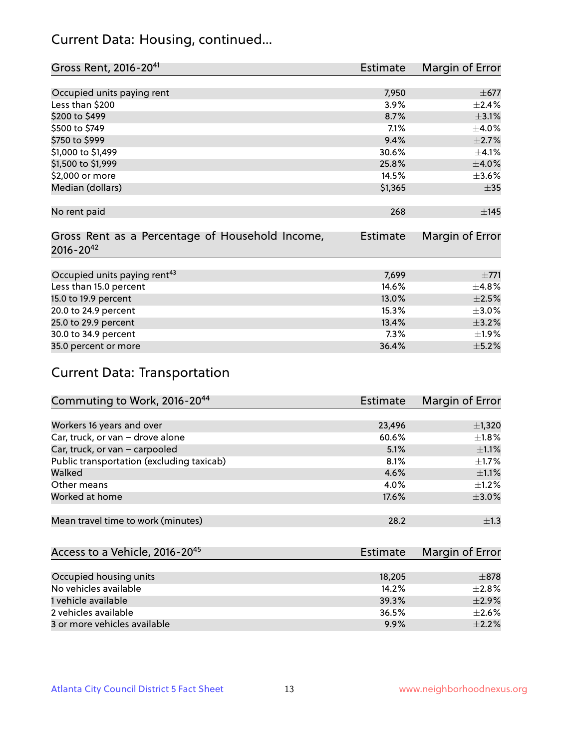### Current Data: Housing, continued...

| Gross Rent, 2016-20 <sup>41</sup>               | Estimate        | Margin of Error |
|-------------------------------------------------|-----------------|-----------------|
|                                                 |                 |                 |
| Occupied units paying rent                      | 7,950           | $\pm$ 677       |
| Less than \$200                                 | 3.9%            | ±2.4%           |
| \$200 to \$499                                  | 8.7%            | $\pm$ 3.1%      |
| \$500 to \$749                                  | 7.1%            | $\pm$ 4.0%      |
| \$750 to \$999                                  | 9.4%            | $\pm 2.7\%$     |
| \$1,000 to \$1,499                              | 30.6%           | $\pm$ 4.1%      |
| \$1,500 to \$1,999                              | 25.8%           | $\pm 4.0\%$     |
| \$2,000 or more                                 | 14.5%           | $\pm 3.6\%$     |
| Median (dollars)                                | \$1,365         | $\pm$ 35        |
|                                                 |                 |                 |
| No rent paid                                    | 268             | $\pm$ 145       |
|                                                 |                 |                 |
| Gross Rent as a Percentage of Household Income, | <b>Estimate</b> | Margin of Error |
| $2016 - 20^{42}$                                |                 |                 |
|                                                 |                 |                 |
| Occupied units paying rent <sup>43</sup>        | 7,699           | ±771            |
| Less than 15.0 percent                          | 14.6%           | ±4.8%           |
| 15.0 to 19.9 percent                            | 13.0%           | $\pm 2.5\%$     |
| 20.0 to 24.9 percent                            | 15.3%           | $\pm 3.0\%$     |
| 25.0 to 29.9 percent                            | 13.4%           | $\pm$ 3.2%      |
| 30.0 to 34.9 percent                            | 7.3%            | ±1.9%           |
| 35.0 percent or more                            | 36.4%           | $\pm$ 5.2%      |

# Current Data: Transportation

| Commuting to Work, 2016-20 <sup>44</sup>  | <b>Estimate</b> | Margin of Error |
|-------------------------------------------|-----------------|-----------------|
|                                           |                 |                 |
| Workers 16 years and over                 | 23,496          | $\pm$ 1,320     |
| Car, truck, or van - drove alone          | 60.6%           | $\pm 1.8\%$     |
| Car, truck, or van - carpooled            | 5.1%            | $\pm 1.1\%$     |
| Public transportation (excluding taxicab) | 8.1%            | $\pm$ 1.7%      |
| Walked                                    | 4.6%            | $\pm 1.1\%$     |
| Other means                               | 4.0%            | $\pm 1.2\%$     |
| Worked at home                            | 17.6%           | $\pm 3.0\%$     |
|                                           |                 |                 |
| Mean travel time to work (minutes)        | 28.2            | $\pm 1.3$       |

| Access to a Vehicle, 2016-20 <sup>45</sup> | Estimate | Margin of Error |
|--------------------------------------------|----------|-----------------|
|                                            |          |                 |
| Occupied housing units                     | 18,205   | $\pm$ 878       |
| No vehicles available                      | 14.2%    | $\pm 2.8\%$     |
| 1 vehicle available                        | 39.3%    | $\pm$ 2.9%      |
| 2 vehicles available                       | 36.5%    | $+2.6%$         |
| 3 or more vehicles available               | 9.9%     | $\pm 2.2\%$     |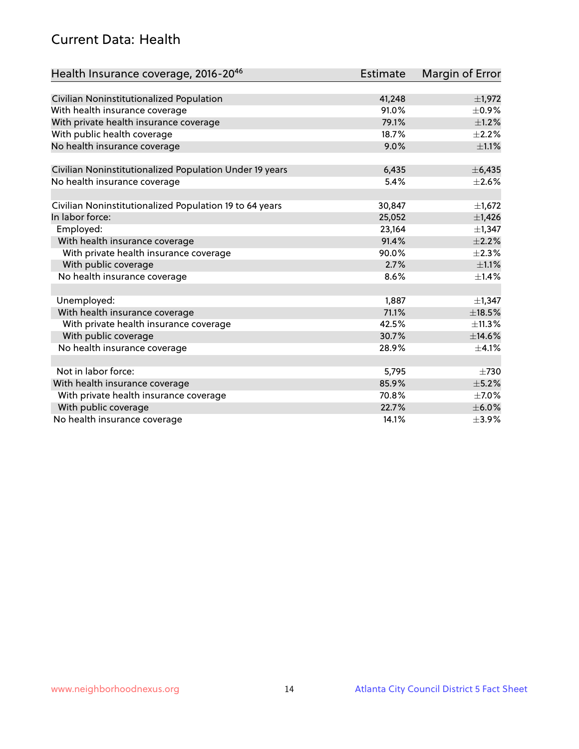### Current Data: Health

| Health Insurance coverage, 2016-2046                    | <b>Estimate</b> | Margin of Error |
|---------------------------------------------------------|-----------------|-----------------|
|                                                         |                 |                 |
| Civilian Noninstitutionalized Population                | 41,248          | $\pm$ 1,972     |
| With health insurance coverage                          | 91.0%           | $\pm$ 0.9%      |
| With private health insurance coverage                  | 79.1%           | $\pm$ 1.2%      |
| With public health coverage                             | 18.7%           | $\pm 2.2\%$     |
| No health insurance coverage                            | 9.0%            | $\pm 1.1\%$     |
| Civilian Noninstitutionalized Population Under 19 years | 6,435           | ± 6,435         |
|                                                         | 5.4%            | $\pm 2.6\%$     |
| No health insurance coverage                            |                 |                 |
| Civilian Noninstitutionalized Population 19 to 64 years | 30,847          | $\pm$ 1,672     |
| In labor force:                                         | 25,052          | $\pm$ 1,426     |
| Employed:                                               | 23,164          | $\pm$ 1,347     |
| With health insurance coverage                          | 91.4%           | $\pm 2.2\%$     |
| With private health insurance coverage                  | 90.0%           | $\pm 2.3\%$     |
| With public coverage                                    | 2.7%            | $\pm 1.1\%$     |
| No health insurance coverage                            | 8.6%            | $\pm$ 1.4%      |
|                                                         |                 |                 |
| Unemployed:                                             | 1,887           | $\pm$ 1,347     |
| With health insurance coverage                          | 71.1%           | $\pm$ 18.5%     |
| With private health insurance coverage                  | 42.5%           | ±11.3%          |
| With public coverage                                    | 30.7%           | ±14.6%          |
| No health insurance coverage                            | 28.9%           | $\pm$ 4.1%      |
|                                                         |                 |                 |
| Not in labor force:                                     | 5,795           | $\pm 730$       |
| With health insurance coverage                          | 85.9%           | $\pm$ 5.2%      |
| With private health insurance coverage                  | 70.8%           | $\pm$ 7.0%      |
| With public coverage                                    | 22.7%           | $\pm$ 6.0%      |
| No health insurance coverage                            | 14.1%           | $\pm$ 3.9%      |